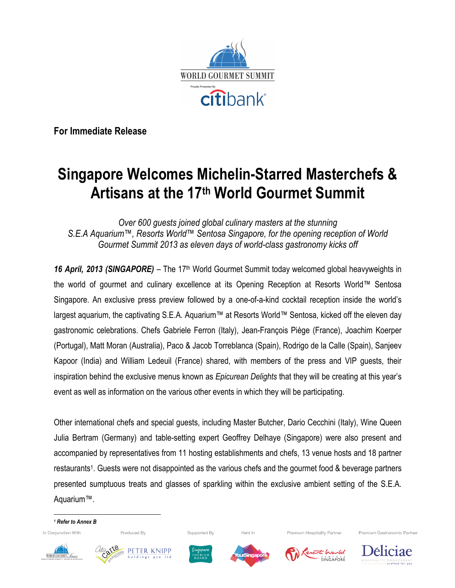

**For Immediate Release**

# **Singapore Welcomes Michelin-Starred Masterchefs & Artisans at the 17th World Gourmet Summit**

*Over 600 guests joined global culinary masters at the stunning S.E.A Aquarium™, Resorts World™ Sentosa Singapore, for the opening reception of World Gourmet Summit 2013 as eleven days of world-class gastronomy kicks off*

16 April, 2013 (SINGAPORE) – The 17<sup>th</sup> World Gourmet Summit today welcomed global heavyweights in the world of gourmet and culinary excellence at its Opening Reception at Resorts World™ Sentosa Singapore. An exclusive press preview followed by a one-of-a-kind cocktail reception inside the world's largest aquarium, the captivating S.E.A. Aquarium™ at Resorts World™ Sentosa, kicked off the eleven day gastronomic celebrations. Chefs Gabriele Ferron (Italy), Jean-François Piège (France), Joachim Koerper (Portugal), Matt Moran (Australia), Paco & Jacob Torreblanca (Spain), Rodrigo de la Calle (Spain), Sanjeev Kapoor (India) and William Ledeuil (France) shared, with members of the press and VIP guests, their inspiration behind the exclusive menus known as *Epicurean Delights* that they will be creating at this year's event as well as information on the various other events in which they will be participating.

Other international chefs and special guests, including Master Butcher, Dario Cecchini (Italy), Wine Queen Julia Bertram (Germany) and table-setting expert Geoffrey Delhaye (Singapore) were also present and accompanied by representatives from 11 hosting establishments and chefs, 13 venue hosts and 18 partner restaurants1. Guests were not disappointed as the various chefs and the gourmet food & beverage partners presented sumptuous treats and glasses of sparkling within the exclusive ambient setting of the S.E.A. Aquarium™.

*<sup>1</sup> Refer to Annex B*In Conjunction With

Produced By

 







Held In



Premium Hospitality Partner

escrito Warld SENTOSA<br>SINGAPORÊ





Premium Gastronomic Partner

Supported By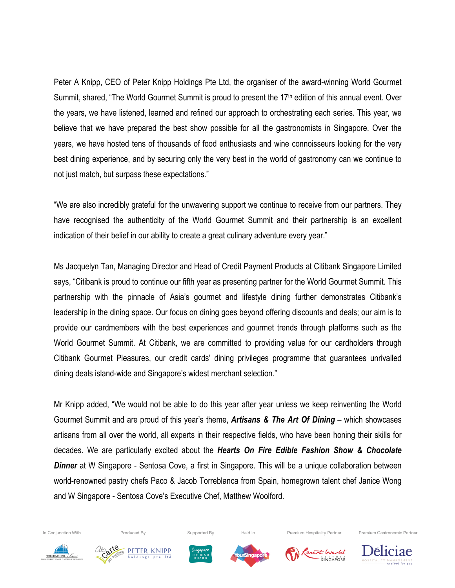Peter A Knipp, CEO of Peter Knipp Holdings Pte Ltd, the organiser of the award-winning World Gourmet Summit, shared, "The World Gourmet Summit is proud to present the 17<sup>th</sup> edition of this annual event. Over the years, we have listened, learned and refined our approach to orchestrating each series. This year, we believe that we have prepared the best show possible for all the gastronomists in Singapore. Over the years, we have hosted tens of thousands of food enthusiasts and wine connoisseurs looking for the very best dining experience, and by securing only the very best in the world of gastronomy can we continue to not just match, but surpass these expectations."

"We are also incredibly grateful for the unwavering support we continue to receive from our partners. They have recognised the authenticity of the World Gourmet Summit and their partnership is an excellent indication of their belief in our ability to create a great culinary adventure every year."

Ms Jacquelyn Tan, Managing Director and Head of Credit Payment Products at Citibank Singapore Limited says, "Citibank is proud to continue our fifth year as presenting partner for the World Gourmet Summit. This partnership with the pinnacle of Asia's gourmet and lifestyle dining further demonstrates Citibank's leadership in the dining space. Our focus on dining goes beyond offering discounts and deals; our aim is to provide our cardmembers with the best experiences and gourmet trends through platforms such as the World Gourmet Summit. At Citibank, we are committed to providing value for our cardholders through Citibank Gourmet Pleasures, our credit cards' dining privileges programme that guarantees unrivalled dining deals island-wide and Singapore's widest merchant selection."

Mr Knipp added, "We would not be able to do this year after year unless we keep reinventing the World Gourmet Summit and are proud of this year's theme, *Artisans & The Art Of Dining* – which showcases artisans from all over the world, all experts in their respective fields, who have been honing their skills for decades. We are particularly excited about the *Hearts On Fire Edible Fashion Show & Chocolate*  **Dinner** at W Singapore - Sentosa Cove, a first in Singapore. This will be a unique collaboration between world-renowned pastry chefs Paco & Jacob Torreblanca from Spain, homegrown talent chef Janice Wong and W Singapore - Sentosa Cove's Executive Chef, Matthew Woolford.



In Conjunction With



Produced By



Supported By



Held In



Premium Hospitality Partner

 $SENTO S   
SINGAPORF$ 

Premium Gastronomic Partner

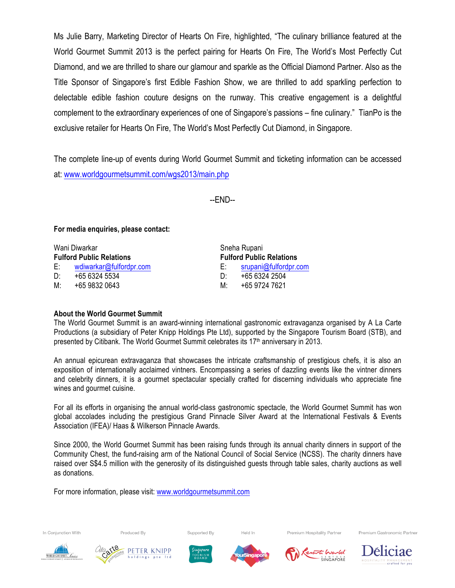Ms Julie Barry, Marketing Director of Hearts On Fire, highlighted, "The culinary brilliance featured at the World Gourmet Summit 2013 is the perfect pairing for Hearts On Fire, The World's Most Perfectly Cut Diamond, and we are thrilled to share our glamour and sparkle as the Official Diamond Partner. Also as the Title Sponsor of Singapore's first Edible Fashion Show, we are thrilled to add sparkling perfection to delectable edible fashion couture designs on the runway. This creative engagement is a delightful complement to the extraordinary experiences of one of Singapore's passions – fine culinary." TianPo is the exclusive retailer for Hearts On Fire, The World's Most Perfectly Cut Diamond, in Singapore.

The complete line-up of events during World Gourmet Summit and ticketing information can be accessed at: www.worldgourmetsummit.com/wgs2013/main.php

--END--

**For media enquiries, please contact:**

| Wani Diwarkar                   |                         | Sneha Rupani |                                 |  |
|---------------------------------|-------------------------|--------------|---------------------------------|--|
| <b>Fulford Public Relations</b> |                         |              | <b>Fulford Public Relations</b> |  |
| E: I                            | wdiwarkar@fulfordpr.com | E: I         | srupani@fulfordpr.com           |  |
| D:                              | +65 6324 5534           | D∸           | +65 6324 2504                   |  |
| M:                              | +65 9832 0643           | M∸           | +65 9724 7621                   |  |

# **About the World Gourmet Summit**

The World Gourmet Summit is an award-winning international gastronomic extravaganza organised by A La Carte Productions (a subsidiary of Peter Knipp Holdings Pte Ltd), supported by the Singapore Tourism Board (STB), and presented by Citibank. The World Gourmet Summit celebrates its 17<sup>th</sup> anniversary in 2013.

An annual epicurean extravaganza that showcases the intricate craftsmanship of prestigious chefs, it is also an exposition of internationally acclaimed vintners. Encompassing a series of dazzling events like the vintner dinners and celebrity dinners, it is a gourmet spectacular specially crafted for discerning individuals who appreciate fine wines and gourmet cuisine.

For all its efforts in organising the annual world-class gastronomic spectacle, the World Gourmet Summit has won global accolades including the prestigious Grand Pinnacle Silver Award at the International Festivals & Events Association (IFEA)/ Haas & Wilkerson Pinnacle Awards.

Since 2000, the World Gourmet Summit has been raising funds through its annual charity dinners in support of the Community Chest, the fund-raising arm of the National Council of Social Service (NCSS). The charity dinners have raised over S\$4.5 million with the generosity of its distinguished guests through table sales, charity auctions as well as donations.

For more information, please visit: www.worldgourmetsummit.com



In Conjunction With



Produced By



Supported By



Held In



Premium Hospitality Partner



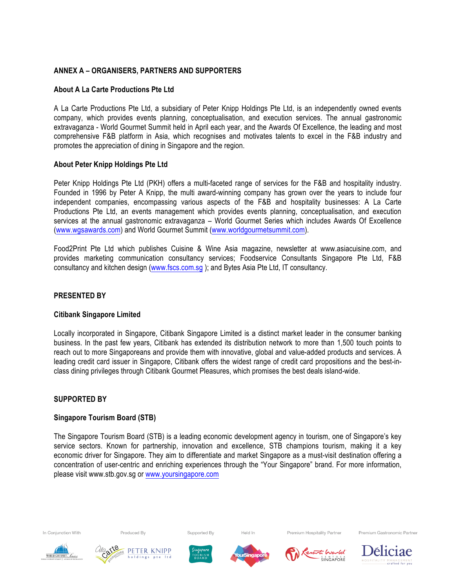# **ANNEX A – ORGANISERS, PARTNERS AND SUPPORTERS**

# **About A La Carte Productions Pte Ltd**

A La Carte Productions Pte Ltd, a subsidiary of Peter Knipp Holdings Pte Ltd, is an independently owned events company, which provides events planning, conceptualisation, and execution services. The annual gastronomic extravaganza - World Gourmet Summit held in April each year, and the Awards Of Excellence, the leading and most comprehensive F&B platform in Asia, which recognises and motivates talents to excel in the F&B industry and promotes the appreciation of dining in Singapore and the region.

# **About Peter Knipp Holdings Pte Ltd**

Peter Knipp Holdings Pte Ltd (PKH) offers a multi-faceted range of services for the F&B and hospitality industry. Founded in 1996 by Peter A Knipp, the multi award-winning company has grown over the years to include four independent companies, encompassing various aspects of the F&B and hospitality businesses: A La Carte Productions Pte Ltd, an events management which provides events planning, conceptualisation, and execution services at the annual gastronomic extravaganza – World Gourmet Series which includes Awards Of Excellence (www.wgsawards.com) and World Gourmet Summit (www.worldgourmetsummit.com).

Food2Print Pte Ltd which publishes Cuisine & Wine Asia magazine, newsletter at www.asiacuisine.com, and provides marketing communication consultancy services; Foodservice Consultants Singapore Pte Ltd, F&B consultancy and kitchen design (www.fscs.com.sg ); and Bytes Asia Pte Ltd, IT consultancy.

# **PRESENTED BY**

# **Citibank Singapore Limited**

Locally incorporated in Singapore, Citibank Singapore Limited is a distinct market leader in the consumer banking business. In the past few years, Citibank has extended its distribution network to more than 1,500 touch points to reach out to more Singaporeans and provide them with innovative, global and value-added products and services. A leading credit card issuer in Singapore, Citibank offers the widest range of credit card propositions and the best-inclass dining privileges through Citibank Gourmet Pleasures, which promises the best deals island-wide.

# **SUPPORTED BY**

#### **Singapore Tourism Board (STB)**

The Singapore Tourism Board (STB) is a leading economic development agency in tourism, one of Singapore's key service sectors. Known for partnership, innovation and excellence, STB champions tourism, making it a key economic driver for Singapore. They aim to differentiate and market Singapore as a must-visit destination offering a concentration of user-centric and enriching experiences through the "Your Singapore" brand. For more information, please visit www.stb.gov.sg or www.yoursingapore.com



In Conjunction With



Produced By







Premium Hospitality Partner

Premium Gastronomic Partner



Supported By

Held In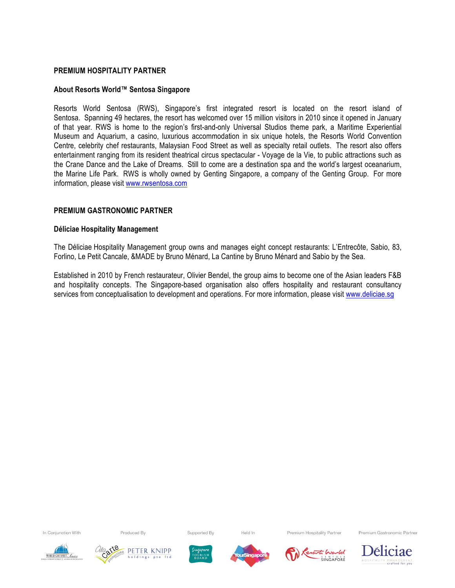#### **PREMIUM HOSPITALITY PARTNER**

#### **About Resorts World™ Sentosa Singapore**

Resorts World Sentosa (RWS), Singapore's first integrated resort is located on the resort island of Sentosa. Spanning 49 hectares, the resort has welcomed over 15 million visitors in 2010 since it opened in January of that year. RWS is home to the region's first-and-only Universal Studios theme park, a Maritime Experiential Museum and Aquarium, a casino, luxurious accommodation in six unique hotels, the Resorts World Convention Centre, celebrity chef restaurants, Malaysian Food Street as well as specialty retail outlets. The resort also offers entertainment ranging from its resident theatrical circus spectacular - Voyage de la Vie, to public attractions such as the Crane Dance and the Lake of Dreams. Still to come are a destination spa and the world's largest oceanarium, the Marine Life Park. RWS is wholly owned by Genting Singapore, a company of the Genting Group. For more information, please visit www.rwsentosa.com

#### **PREMIUM GASTRONOMIC PARTNER**

#### **Déliciae Hospitality Management**

The Déliciae Hospitality Management group owns and manages eight concept restaurants: L'Entrecôte, Sabio, 83, Forlino, Le Petit Cancale, &MADE by Bruno Ménard, La Cantine by Bruno Ménard and Sabio by the Sea.

Established in 2010 by French restaurateur, Olivier Bendel, the group aims to become one of the Asian leaders F&B and hospitality concepts. The Singapore-based organisation also offers hospitality and restaurant consultancy services from conceptualisation to development and operations. For more information, please visit www.deliciae.sg

In Conjunction With

Produced By

Supported By

Held In

Premium Hospitality Partner

Premium Gastronomic Partner











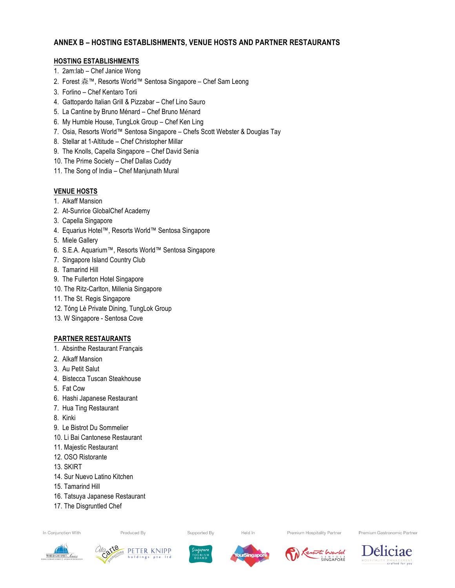# **ANNEX B – HOSTING ESTABLISHMENTS, VENUE HOSTS AND PARTNER RESTAURANTS**

#### **HOSTING ESTABLISHMENTS**

- 1. 2am:lab Chef Janice Wong
- 2. Forest 森™, Resorts World™ Sentosa Singapore Chef Sam Leong
- 3. Forlino Chef Kentaro Torii
- 4. Gattopardo Italian Grill & Pizzabar Chef Lino Sauro
- 5. La Cantine by Bruno Ménard Chef Bruno Ménard
- 6. My Humble House, TungLok Group Chef Ken Ling
- 7. Osia, Resorts World™ Sentosa Singapore Chefs Scott Webster & Douglas Tay
- 8. Stellar at 1-Altitude Chef Christopher Millar
- 9. The Knolls, Capella Singapore Chef David Senia
- 10. The Prime Society Chef Dallas Cuddy
- 11. The Song of India Chef Manjunath Mural

# **VENUE HOSTS**

- 1. Alkaff Mansion
- 2. At-Sunrice GlobalChef Academy
- 3. Capella Singapore
- 4. Equarius Hotel™, Resorts World™ Sentosa Singapore
- 5. Miele Gallery
- 6. S.E.A. Aquarium™, Resorts World™ Sentosa Singapore
- 7. Singapore Island Country Club
- 8. Tamarind Hill
- 9. The Fullerton Hotel Singapore
- 10. The Ritz-Carlton, Millenia Singapore
- 11. The St. Regis Singapore
- 12. Tóng Lè Private Dining, TungLok Group
- 13. W Singapore Sentosa Cove

# **PARTNER RESTAURANTS**

- 1. Absinthe Restaurant Français
- 2. Alkaff Mansion
- 3. Au Petit Salut
- 4. Bistecca Tuscan Steakhouse
- 5. Fat Cow
- 6. Hashi Japanese Restaurant
- 7. Hua Ting Restaurant
- 8. Kinki
- 9. Le Bistrot Du Sommelier
- 10. Li Bai Cantonese Restaurant
- 11. Majestic Restaurant
- 12. OSO Ristorante
- 13. SKIRT
- 14. Sur Nuevo Latino Kitchen
- 15. Tamarind Hill
- 16. Tatsuya Japanese Restaurant
- 17. The Disgruntled Chef

In Conjunction With

Produced By

Supported By

Held In

Premium Hospitality Partner

Premium Gastronomic Partner